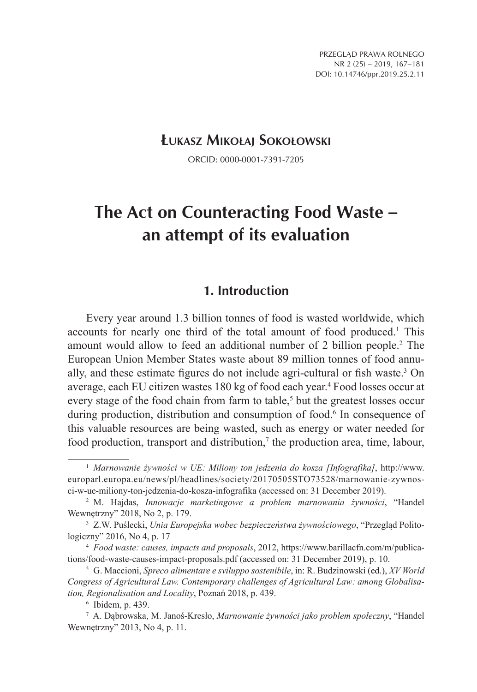## **Łukasz Mikołaj Sokołowski**

ORCID: 0000-0001-7391-7205

# **The Act on Counteracting Food Waste – an attempt of its evaluation**

#### **1. Introduction**

Every year around 1.3 billion tonnes of food is wasted worldwide, which accounts for nearly one third of the total amount of food produced.<sup>1</sup> This amount would allow to feed an additional number of 2 billion people.2 The European Union Member States waste about 89 million tonnes of food annually, and these estimate figures do not include agri-cultural or fish waste.3 On average, each EU citizen wastes 180 kg of food each year.4 Food losses occur at every stage of the food chain from farm to table,<sup>5</sup> but the greatest losses occur during production, distribution and consumption of food.<sup>6</sup> In consequence of this valuable resources are being wasted, such as energy or water needed for food production, transport and distribution,<sup>7</sup> the production area, time, labour,

<sup>1</sup> *Marnowanie żywności w UE: Miliony ton jedzenia do kosza [Infografika]*, http://www. europarl.europa.eu/news/pl/headlines/society/20170505STO73528/marnowanie-zywnosci-w-ue-miliony-ton-jedzenia-do-kosza-infografika (accessed on: 31 December 2019).

<sup>2</sup> M. Hajdas, *Innowacje marketingowe a problem marnowania żywności*, "Handel Wewnętrzny" 2018, No 2, p. 179.

<sup>3</sup> Z.W. Puślecki, *Unia Europejska wobec bezpieczeństwa żywnościowego*, "Przegląd Politologiczny" 2016, No 4, p. 17

<sup>4</sup> *Food waste: causes, impacts and proposals*, 2012, https://www.barillacfn.com/m/publications/food-waste-causes-impact-proposals.pdf (accessed on: 31 December 2019), p. 10.

<sup>5</sup> G. Maccioni, *Spreco alimentare e sviluppo sostenibile*, in: R. Budzinowski (ed.), *XV World Congress of Agricultural Law. Contemporary challenges of Agricultural Law: among Globalisation, Regionalisation and Locality*, Poznań 2018, p. 439.

<sup>6</sup> Ibidem, p. 439.

<sup>7</sup> A. Dąbrowska, M. Janoś-Kresło, *Marnowanie żywności jako problem społeczny*, "Handel Wewnętrzny" 2013, No 4, p. 11.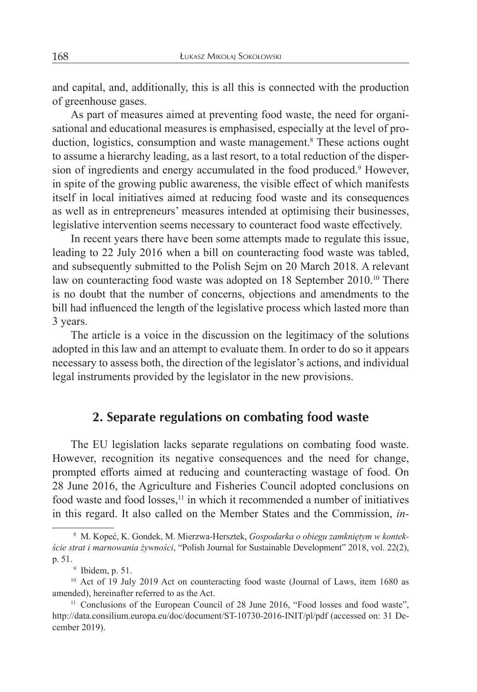and capital, and, additionally, this is all this is connected with the production of greenhouse gases.

As part of measures aimed at preventing food waste, the need for organisational and educational measures is emphasised, especially at the level of production, logistics, consumption and waste management.<sup>8</sup> These actions ought to assume a hierarchy leading, as a last resort, to a total reduction of the dispersion of ingredients and energy accumulated in the food produced.<sup>9</sup> However, in spite of the growing public awareness, the visible effect of which manifests itself in local initiatives aimed at reducing food waste and its consequences as well as in entrepreneurs' measures intended at optimising their businesses, legislative intervention seems necessary to counteract food waste effectively.

In recent years there have been some attempts made to regulate this issue, leading to 22 July 2016 when a bill on counteracting food waste was tabled, and subsequently submitted to the Polish Sejm on 20 March 2018. A relevant law on counteracting food waste was adopted on 18 September 2010.<sup>10</sup> There is no doubt that the number of concerns, objections and amendments to the bill had influenced the length of the legislative process which lasted more than 3 years.

The article is a voice in the discussion on the legitimacy of the solutions adopted in this law and an attempt to evaluate them. In order to do so it appears necessary to assess both, the direction of the legislator's actions, and individual legal instruments provided by the legislator in the new provisions.

## **2. Separate regulations on combating food waste**

The EU legislation lacks separate regulations on combating food waste. However, recognition its negative consequences and the need for change, prompted efforts aimed at reducing and counteracting wastage of food. On 28 June 2016, the Agriculture and Fisheries Council adopted conclusions on food waste and food losses,<sup>11</sup> in which it recommended a number of initiatives in this regard. It also called on the Member States and the Commission, *in-*

<sup>8</sup> M. Kopeć, K. Gondek, M. Mierzwa-Hersztek, *Gospodarka o obiegu zamkniętym w kontekście strat i marnowania żywności*, "Polish Journal for Sustainable Development" 2018, vol. 22(2), p. 51.

<sup>9</sup> Ibidem, p. 51.

<sup>&</sup>lt;sup>10</sup> Act of 19 July 2019 Act on counteracting food waste (Journal of Laws, item 1680 as amended), hereinafter referred to as the Act.

<sup>&</sup>lt;sup>11</sup> Conclusions of the European Council of 28 June 2016, "Food losses and food waste", http://data.consilium.europa.eu/doc/document/ST-10730-2016-INIT/pl/pdf (accessed on: 31 December 2019).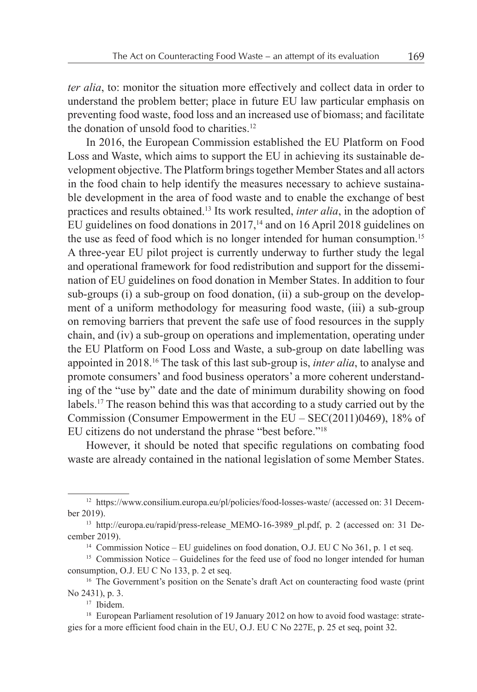*ter alia*, to: monitor the situation more effectively and collect data in order to understand the problem better; place in future EU law particular emphasis on preventing food waste, food loss and an increased use of biomass; and facilitate the donation of unsold food to charities.<sup>12</sup>

In 2016, the European Commission established the EU Platform on Food Loss and Waste, which aims to support the EU in achieving its sustainable development objective. The Platform bringstogether Member States and all actors in the food chain to help identify the measures necessary to achieve sustainable development in the area of food waste and to enable the exchange of best practices and results obtained.13 Its work resulted, *inter alia*, in the adoption of EU guidelines on food donations in 2017,<sup>14</sup> and on 16 April 2018 guidelines on the use as feed of food which is no longer intended for human consumption.15 A three-year EU pilot project is currently underway to further study the legal and operational framework for food redistribution and support for the dissemination of EU guidelines on food donation in Member States. In addition to four sub-groups (i) a sub-group on food donation, (ii) a sub-group on the development of a uniform methodology for measuring food waste, (iii) a sub-group on removing barriers that prevent the safe use of food resources in the supply chain, and (iv) a sub-group on operations and implementation, operating under the EU Platform on Food Loss and Waste, a sub-group on date labelling was appointed in 2018.16 The task of this last sub-group is, *inter alia*, to analyse and promote consumers' and food business operators' a more coherent understanding of the "use by" date and the date of minimum durability showing on food labels.17 The reason behind this was that according to a study carried out by the Commission (Consumer Empowerment in the EU – SEC(2011)0469), 18% of EU citizens do not understand the phrase "best before."18

However, it should be noted that specific regulations on combating food waste are already contained in the national legislation of some Member States.

<sup>&</sup>lt;sup>12</sup> https://www.consilium.europa.eu/pl/policies/food-losses-waste/ (accessed on: 31 December 2019).

<sup>&</sup>lt;sup>13</sup> http://europa.eu/rapid/press-release MEMO-16-3989 pl.pdf, p. 2 (accessed on: 31 December 2019).

<sup>&</sup>lt;sup>14</sup> Commission Notice – EU guidelines on food donation, O.J. EU C No 361, p. 1 et seq.

<sup>&</sup>lt;sup>15</sup> Commission Notice – Guidelines for the feed use of food no longer intended for human consumption, O.J. EU C No 133, p. 2 et seq.

<sup>&</sup>lt;sup>16</sup> The Government's position on the Senate's draft Act on counteracting food waste (print No 2431), p. 3.

<sup>&</sup>lt;sup>17</sup> Ibidem.

<sup>&</sup>lt;sup>18</sup> European Parliament resolution of 19 January 2012 on how to avoid food wastage: strategies for a more efficient food chain in the EU, O.J. EU C No 227E, p. 25 et seq, point 32.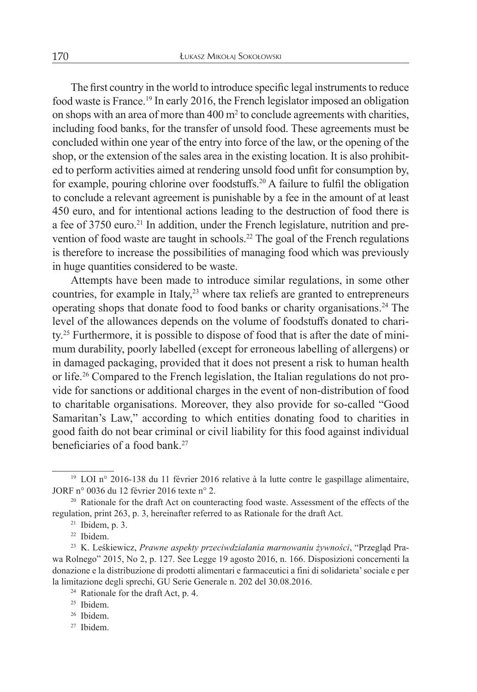The first country in the world to introduce specific legal instruments to reduce food waste is France.19 In early 2016, the French legislator imposed an obligation on shops with an area of more than  $400 \text{ m}^2$  to conclude agreements with charities, including food banks, for the transfer of unsold food. These agreements must be concluded within one year of the entry into force of the law, or the opening of the shop, or the extension of the sales area in the existing location. It is also prohibited to perform activities aimed at rendering unsold food unfit for consumption by, for example, pouring chlorine over foodstuffs.20 A failure to fulfil the obligation to conclude a relevant agreement is punishable by a fee in the amount of at least 450 euro, and for intentional actions leading to the destruction of food there is a fee of 3750 euro.<sup>21</sup> In addition, under the French legislature, nutrition and prevention of food waste are taught in schools.<sup>22</sup> The goal of the French regulations is therefore to increase the possibilities of managing food which was previously in huge quantities considered to be waste.

Attempts have been made to introduce similar regulations, in some other countries, for example in Italy, $2<sup>3</sup>$  where tax reliefs are granted to entrepreneurs operating shops that donate food to food banks or charity organisations.24 The level of the allowances depends on the volume of foodstuffs donated to charity.25 Furthermore, it is possible to dispose of food that is after the date of minimum durability, poorly labelled (except for erroneous labelling of allergens) or in damaged packaging, provided that it does not present a risk to human health or life.26 Compared to the French legislation, the Italian regulations do not provide for sanctions or additional charges in the event of non-distribution of food to charitable organisations. Moreover, they also provide for so-called "Good Samaritan's Law," according to which entities donating food to charities in good faith do not bear criminal or civil liability for this food against individual beneficiaries of a food bank<sup>27</sup>

<sup>27</sup> Ibidem.

<sup>19</sup> LOI n° 2016-138 du 11 février 2016 relative à la lutte contre le gaspillage alimentaire, JORF n° 0036 du 12 février 2016 texte n° 2.

<sup>&</sup>lt;sup>20</sup> Rationale for the draft Act on counteracting food waste. Assessment of the effects of the regulation, print 263, p. 3, hereinafter referred to as Rationale for the draft Act.

 $21$  Ibidem, p. 3.

<sup>22</sup> Ibidem.

<sup>23</sup> K. Leśkiewicz, *Prawne aspekty przeciwdziałania marnowaniu żywności*, "Przegląd Prawa Rolnego" 2015, No 2, p. 127. See Legge 19 agosto 2016, n. 166. Disposizioni concernenti la donazione e la distribuzione di prodotti alimentari e farmaceutici a fini di solidarieta'sociale e per la limitazione degli sprechi, GU Serie Generale n. 202 del 30.08.2016.

<sup>&</sup>lt;sup>24</sup> Rationale for the draft Act, p. 4.

<sup>25</sup> Ibidem.

<sup>26</sup> Ibidem.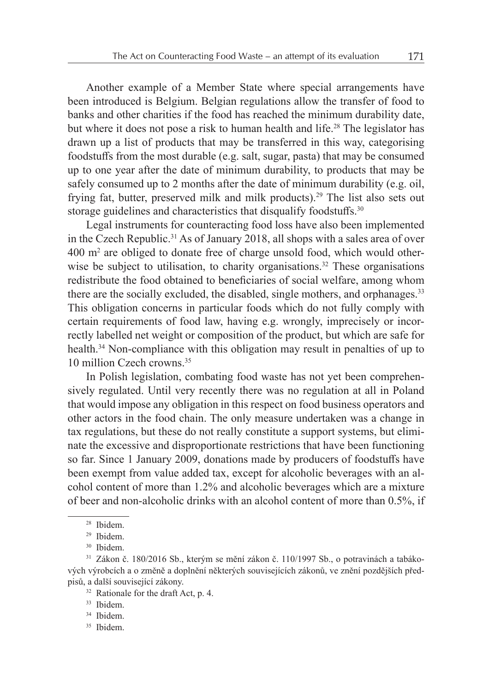Another example of a Member State where special arrangements have been introduced is Belgium. Belgian regulations allow the transfer of food to banks and other charities if the food has reached the minimum durability date, but where it does not pose a risk to human health and life.<sup>28</sup> The legislator has drawn up a list of products that may be transferred in this way, categorising foodstuffs from the most durable (e.g. salt, sugar, pasta) that may be consumed up to one year after the date of minimum durability, to products that may be safely consumed up to 2 months after the date of minimum durability (e.g. oil, frying fat, butter, preserved milk and milk products).<sup>29</sup> The list also sets out storage guidelines and characteristics that disqualify foodstuffs.<sup>30</sup>

Legal instruments for counteracting food loss have also been implemented in the Czech Republic.<sup>31</sup> As of January 2018, all shops with a sales area of over 400 m2 are obliged to donate free of charge unsold food, which would otherwise be subject to utilisation, to charity organisations.<sup>32</sup> These organisations redistribute the food obtained to beneficiaries of social welfare, among whom there are the socially excluded, the disabled, single mothers, and orphanages.<sup>33</sup> This obligation concerns in particular foods which do not fully comply with certain requirements of food law, having e.g. wrongly, imprecisely or incorrectly labelled net weight or composition of the product, but which are safe for health.34 Non-compliance with this obligation may result in penalties of up to 10 million Czech crowns.35

In Polish legislation, combating food waste has not yet been comprehensively regulated. Until very recently there was no regulation at all in Poland that would impose any obligation in this respect on food business operators and other actors in the food chain. The only measure undertaken was a change in tax regulations, but these do not really constitute a support systems, but eliminate the excessive and disproportionate restrictions that have been functioning so far. Since 1 January 2009, donations made by producers of foodstuffs have been exempt from value added tax, except for alcoholic beverages with an alcohol content of more than 1.2% and alcoholic beverages which are a mixture of beer and non-alcoholic drinks with an alcohol content of more than 0.5%, if

<sup>35</sup> Ibidem.

<sup>28</sup> Ibidem.

<sup>29</sup> Ibidem.

<sup>30</sup> Ibidem.

 $31$  Zákon č. 180/2016 Sb., kterým se mění zákon č. 110/1997 Sb., o potravinách a tabákových výrobcích a o změně a doplnění některých souvisejících zákonů, ve znění pozdějších předpisů, a další související zákony.

 $32$  Rationale for the draft Act, p. 4.

<sup>33</sup> Ibidem.

<sup>34</sup> Ibidem.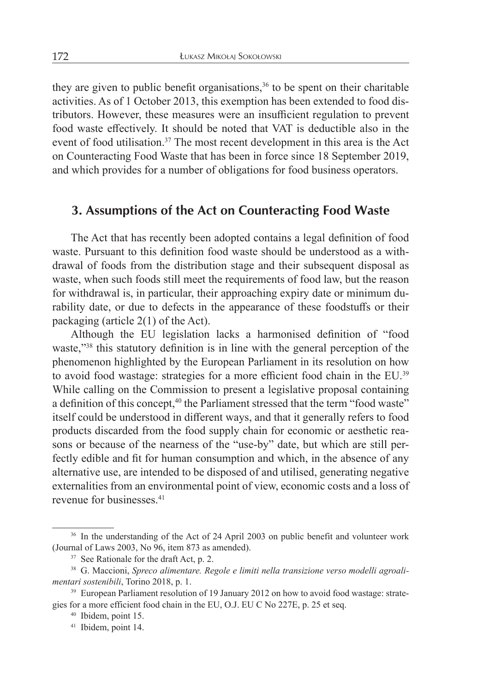they are given to public benefit organisations,<sup>36</sup> to be spent on their charitable activities. As of 1 October 2013, this exemption has been extended to food distributors. However, these measures were an insufficient regulation to prevent food waste effectively. It should be noted that VAT is deductible also in the event of food utilisation.<sup>37</sup> The most recent development in this area is the Act on Counteracting Food Waste that has been in force since 18 September 2019, and which provides for a number of obligations for food business operators.

## **3. Assumptions of the Act on Counteracting Food Waste**

The Act that has recently been adopted contains a legal definition of food waste. Pursuant to this definition food waste should be understood as a withdrawal of foods from the distribution stage and their subsequent disposal as waste, when such foods still meet the requirements of food law, but the reason for withdrawal is, in particular, their approaching expiry date or minimum durability date, or due to defects in the appearance of these foodstuffs or their packaging (article 2(1) of the Act).

Although the EU legislation lacks a harmonised definition of "food waste,"<sup>38</sup> this statutory definition is in line with the general perception of the phenomenon highlighted by the European Parliament in its resolution on how to avoid food wastage: strategies for a more efficient food chain in the EU.39 While calling on the Commission to present a legislative proposal containing a definition of this concept,<sup>40</sup> the Parliament stressed that the term "food waste" itself could be understood in different ways, and that it generally refers to food products discarded from the food supply chain for economic or aesthetic reasons or because of the nearness of the "use-by" date, but which are still perfectly edible and fit for human consumption and which, in the absence of any alternative use, are intended to be disposed of and utilised, generating negative externalities from an environmental point of view, economic costs and a loss of revenue for businesses <sup>41</sup>

<sup>&</sup>lt;sup>36</sup> In the understanding of the Act of 24 April 2003 on public benefit and volunteer work (Journal of Laws 2003, No 96, item 873 as amended).

<sup>&</sup>lt;sup>37</sup> See Rationale for the draft Act, p. 2.

<sup>38</sup> G. Maccioni, *Spreco alimentare. Regole e limiti nella transizione verso modelli agroalimentari sostenibili*, Torino 2018, p. 1.

<sup>&</sup>lt;sup>39</sup> European Parliament resolution of 19 January 2012 on how to avoid food wastage: strategies for a more efficient food chain in the EU, O.J. EU C No 227E, p. 25 et seq.

<sup>40</sup> Ibidem, point 15.

<sup>41</sup> Ibidem, point 14.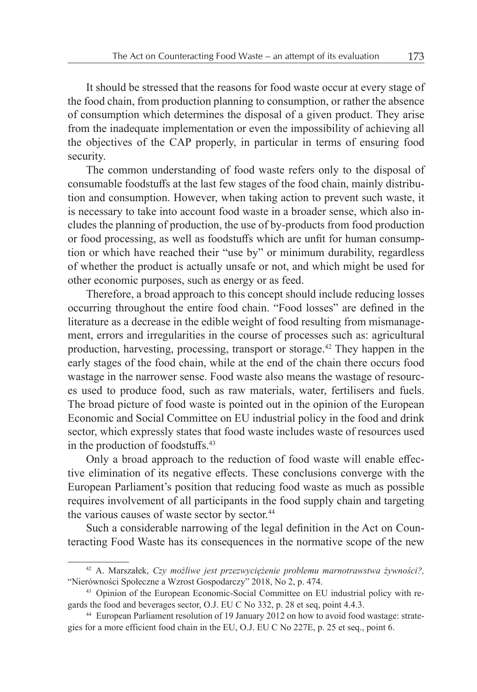It should be stressed that the reasons for food waste occur at every stage of the food chain, from production planning to consumption, or rather the absence of consumption which determines the disposal of a given product. They arise from the inadequate implementation or even the impossibility of achieving all the objectives of the CAP properly, in particular in terms of ensuring food security.

The common understanding of food waste refers only to the disposal of consumable foodstuffs at the last few stages of the food chain, mainly distribution and consumption. However, when taking action to prevent such waste, it is necessary to take into account food waste in a broader sense, which also includes the planning of production, the use of by-products from food production or food processing, as well as foodstuffs which are unfit for human consumption or which have reached their "use by" or minimum durability, regardless of whether the product is actually unsafe or not, and which might be used for other economic purposes, such as energy or as feed.

Therefore, a broad approach to this concept should include reducing losses occurring throughout the entire food chain. "Food losses" are defined in the literature as a decrease in the edible weight of food resulting from mismanagement, errors and irregularities in the course of processes such as: agricultural production, harvesting, processing, transport or storage.42 They happen in the early stages of the food chain, while at the end of the chain there occurs food wastage in the narrower sense. Food waste also means the wastage of resources used to produce food, such as raw materials, water, fertilisers and fuels. The broad picture of food waste is pointed out in the opinion of the European Economic and Social Committee on EU industrial policy in the food and drink sector, which expressly states that food waste includes waste of resources used in the production of foodstuffs.43

Only a broad approach to the reduction of food waste will enable effective elimination of its negative effects. These conclusions converge with the European Parliament's position that reducing food waste as much as possible requires involvement of all participants in the food supply chain and targeting the various causes of waste sector by sector.<sup>44</sup>

Such a considerable narrowing of the legal definition in the Act on Counteracting Food Waste has its consequences in the normative scope of the new

<sup>42</sup> A. Marszałek, *Czy możliwe jest przezwyciężenie problemu marnotrawstwa żywności?,* "Nierówności Społeczne a Wzrost Gospodarczy" 2018, No 2, p. 474.

<sup>43</sup> Opinion of the European Economic-Social Committee on EU industrial policy with regards the food and beverages sector, O.J. EU C No 332, p. 28 et seq, point 4.4.3.

<sup>44</sup> European Parliament resolution of 19 January 2012 on how to avoid food wastage: strategies for a more efficient food chain in the EU, O.J. EU C No 227E, p. 25 et seq., point 6.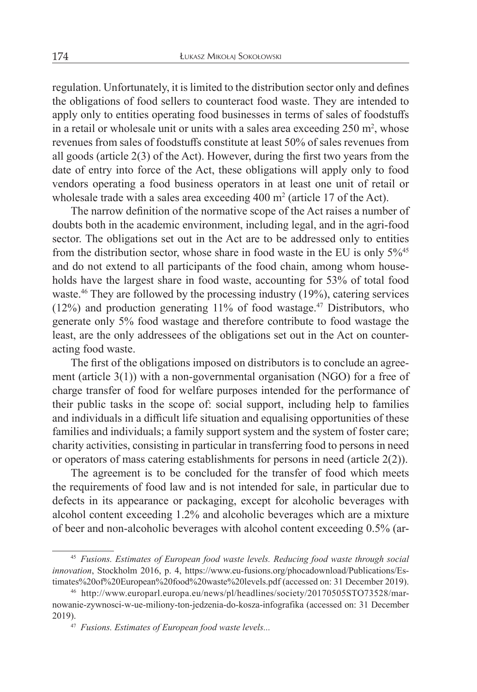regulation. Unfortunately, it islimited to the distribution sector only and defines the obligations of food sellers to counteract food waste. They are intended to apply only to entities operating food businesses in terms of sales of foodstuffs in a retail or wholesale unit or units with a sales area exceeding  $250 \text{ m}^2$ , whose revenues from sales of foodstuffs constitute at least 50% of sales revenues from all goods (article 2(3) of the Act). However, during the first two years from the date of entry into force of the Act, these obligations will apply only to food vendors operating a food business operators in at least one unit of retail or wholesale trade with a sales area exceeding  $400 \text{ m}^2$  (article 17 of the Act).

The narrow definition of the normative scope of the Act raises a number of doubts both in the academic environment, including legal, and in the agri-food sector. The obligations set out in the Act are to be addressed only to entities from the distribution sector, whose share in food waste in the EU is only 5%45 and do not extend to all participants of the food chain, among whom households have the largest share in food waste, accounting for 53% of total food waste.<sup>46</sup> They are followed by the processing industry (19%), catering services  $(12%)$  and production generating  $11%$  of food wastage.<sup>47</sup> Distributors, who generate only 5% food wastage and therefore contribute to food wastage the least, are the only addressees of the obligations set out in the Act on counteracting food waste.

The first of the obligations imposed on distributors is to conclude an agreement (article 3(1)) with a non-governmental organisation (NGO) for a free of charge transfer of food for welfare purposes intended for the performance of their public tasks in the scope of: social support, including help to families and individuals in a difficult life situation and equalising opportunities of these families and individuals; a family support system and the system of foster care; charity activities, consisting in particular in transferring food to persons in need or operators of mass catering establishments for persons in need (article 2(2)).

The agreement is to be concluded for the transfer of food which meets the requirements of food law and is not intended for sale, in particular due to defects in its appearance or packaging, except for alcoholic beverages with alcohol content exceeding 1.2% and alcoholic beverages which are a mixture of beer and non-alcoholic beverages with alcohol content exceeding 0.5% (ar-

<sup>45</sup> *Fusions. Estimates of European food waste levels. Reducing food waste through social innovation*, Stockholm 2016, p. 4, https://www.eu-fusions.org/phocadownload/Publications/Estimates%20of%20European%20food%20waste%20levels.pdf (accessed on: 31 December 2019).

<sup>46</sup> http://www.europarl.europa.eu/news/pl/headlines/society/20170505STO73528/marnowanie-zywnosci-w-ue-miliony-ton-jedzenia-do-kosza-infografika (accessed on: 31 December 2019).

<sup>47</sup> *Fusions. Estimates of European food waste levels...*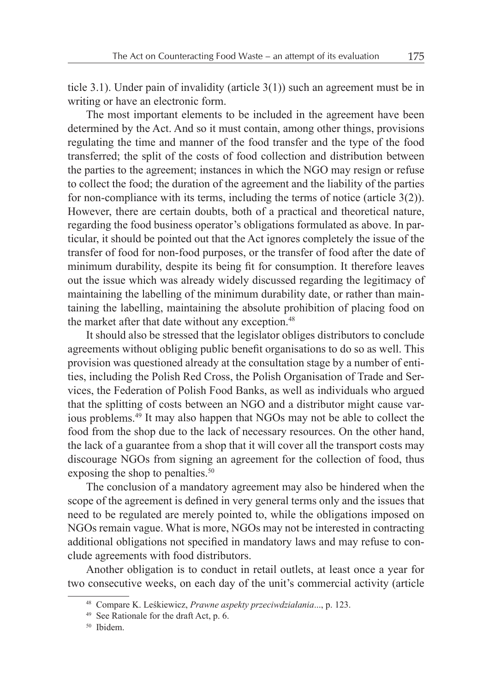ticle 3.1). Under pain of invalidity (article 3(1)) such an agreement must be in writing or have an electronic form.

The most important elements to be included in the agreement have been determined by the Act. And so it must contain, among other things, provisions regulating the time and manner of the food transfer and the type of the food transferred; the split of the costs of food collection and distribution between the parties to the agreement; instances in which the NGO may resign or refuse to collect the food; the duration of the agreement and the liability of the parties for non-compliance with its terms, including the terms of notice (article 3(2)). However, there are certain doubts, both of a practical and theoretical nature, regarding the food business operator's obligations formulated as above. In particular, it should be pointed out that the Act ignores completely the issue of the transfer of food for non-food purposes, or the transfer of food after the date of minimum durability, despite its being fit for consumption. It therefore leaves out the issue which was already widely discussed regarding the legitimacy of maintaining the labelling of the minimum durability date, or rather than maintaining the labelling, maintaining the absolute prohibition of placing food on the market after that date without any exception.<sup>48</sup>

It should also be stressed that the legislator obliges distributors to conclude agreements without obliging public benefit organisations to do so as well. This provision was questioned already at the consultation stage by a number of entities, including the Polish Red Cross, the Polish Organisation of Trade and Services, the Federation of Polish Food Banks, as well as individuals who argued that the splitting of costs between an NGO and a distributor might cause various problems.49 It may also happen that NGOs may not be able to collect the food from the shop due to the lack of necessary resources. On the other hand, the lack of a guarantee from a shop that it will cover all the transport costs may discourage NGOs from signing an agreement for the collection of food, thus exposing the shop to penalties.<sup>50</sup>

The conclusion of a mandatory agreement may also be hindered when the scope of the agreement is defined in very general terms only and the issues that need to be regulated are merely pointed to, while the obligations imposed on NGOs remain vague. What is more, NGOs may not be interested in contracting additional obligations not specified in mandatory laws and may refuse to conclude agreements with food distributors.

Another obligation is to conduct in retail outlets, at least once a year for two consecutive weeks, on each day of the unit's commercial activity (article

<sup>48</sup> Compare K. Leśkiewicz, *Prawne aspekty przeciwdziałania*..., p. 123.

<sup>49</sup> See Rationale for the draft Act, p. 6.

<sup>50</sup> Ibidem.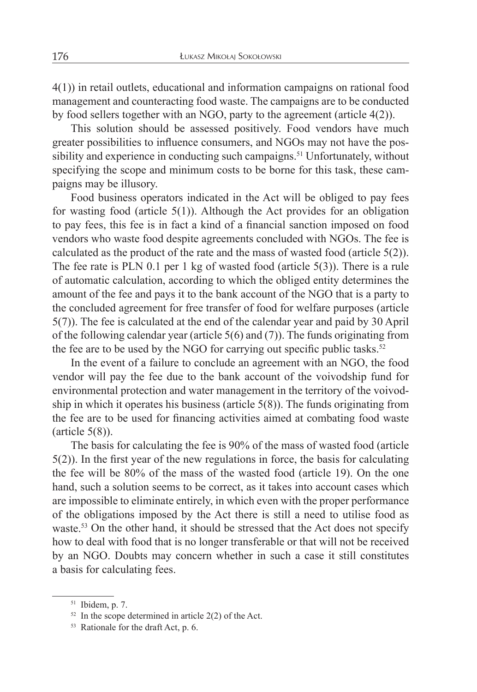4(1)) in retail outlets, educational and information campaigns on rational food management and counteracting food waste. The campaigns are to be conducted by food sellers together with an NGO, party to the agreement (article 4(2)).

This solution should be assessed positively. Food vendors have much greater possibilities to influence consumers, and NGOs may not have the possibility and experience in conducting such campaigns.<sup>51</sup> Unfortunately, without specifying the scope and minimum costs to be borne for this task, these campaigns may be illusory.

Food business operators indicated in the Act will be obliged to pay fees for wasting food (article  $5(1)$ ). Although the Act provides for an obligation to pay fees, this fee is in fact a kind of a financial sanction imposed on food vendors who waste food despite agreements concluded with NGOs. The fee is calculated as the product of the rate and the mass of wasted food (article 5(2)). The fee rate is PLN 0.1 per 1 kg of wasted food (article 5(3)). There is a rule of automatic calculation, according to which the obliged entity determines the amount of the fee and pays it to the bank account of the NGO that is a party to the concluded agreement for free transfer of food for welfare purposes (article 5(7)). The fee is calculated at the end of the calendar year and paid by 30 April of the following calendar year (article 5(6) and (7)). The funds originating from the fee are to be used by the NGO for carrying out specific public tasks.<sup>52</sup>

In the event of a failure to conclude an agreement with an NGO, the food vendor will pay the fee due to the bank account of the voivodship fund for environmental protection and water management in the territory of the voivodship in which it operates his business (article  $5(8)$ ). The funds originating from the fee are to be used for financing activities aimed at combating food waste  $(\text{article } 5(8))$ .

The basis for calculating the fee is 90% of the mass of wasted food (article 5(2)). In the first year of the new regulations in force, the basis for calculating the fee will be 80% of the mass of the wasted food (article 19). On the one hand, such a solution seems to be correct, as it takes into account cases which are impossible to eliminate entirely, in which even with the proper performance of the obligations imposed by the Act there is still a need to utilise food as waste.<sup>53</sup> On the other hand, it should be stressed that the Act does not specify how to deal with food that is no longer transferable or that will not be received by an NGO. Doubts may concern whether in such a case it still constitutes a basis for calculating fees.

<sup>51</sup> Ibidem, p. 7.

 $52$  In the scope determined in article 2(2) of the Act.

<sup>53</sup> Rationale for the draft Act, p. 6.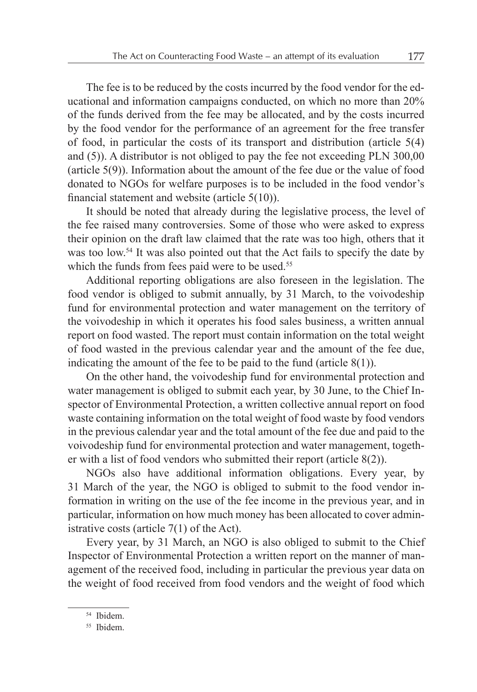The fee is to be reduced by the costs incurred by the food vendor for the educational and information campaigns conducted, on which no more than 20% of the funds derived from the fee may be allocated, and by the costs incurred by the food vendor for the performance of an agreement for the free transfer of food, in particular the costs of its transport and distribution (article 5(4) and (5)). A distributor is not obliged to pay the fee not exceeding PLN 300,00 (article 5(9)). Information about the amount of the fee due or the value of food donated to NGOs for welfare purposes is to be included in the food vendor's financial statement and website (article 5(10)).

It should be noted that already during the legislative process, the level of the fee raised many controversies. Some of those who were asked to express their opinion on the draft law claimed that the rate was too high, others that it was too low.<sup>54</sup> It was also pointed out that the Act fails to specify the date by which the funds from fees paid were to be used.<sup>55</sup>

Additional reporting obligations are also foreseen in the legislation. The food vendor is obliged to submit annually, by 31 March, to the voivodeship fund for environmental protection and water management on the territory of the voivodeship in which it operates his food sales business, a written annual report on food wasted. The report must contain information on the total weight of food wasted in the previous calendar year and the amount of the fee due, indicating the amount of the fee to be paid to the fund (article  $8(1)$ ).

On the other hand, the voivodeship fund for environmental protection and water management is obliged to submit each year, by 30 June, to the Chief Inspector of Environmental Protection, a written collective annual report on food waste containing information on the total weight of food waste by food vendors in the previous calendar year and the total amount of the fee due and paid to the voivodeship fund for environmental protection and water management, together with a list of food vendors who submitted their report (article 8(2)).

NGOs also have additional information obligations. Every year, by 31 March of the year, the NGO is obliged to submit to the food vendor information in writing on the use of the fee income in the previous year, and in particular, information on how much money has been allocated to cover administrative costs (article 7(1) of the Act).

Every year, by 31 March, an NGO is also obliged to submit to the Chief Inspector of Environmental Protection a written report on the manner of management of the received food, including in particular the previous year data on the weight of food received from food vendors and the weight of food which

<sup>54</sup> Ibidem.

<sup>55</sup> Ibidem.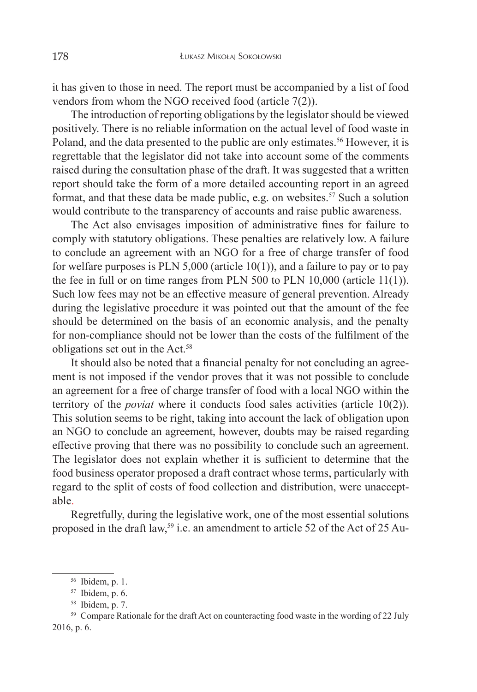it has given to those in need. The report must be accompanied by a list of food vendors from whom the NGO received food (article 7(2)).

The introduction of reporting obligations by the legislator should be viewed positively. There is no reliable information on the actual level of food waste in Poland, and the data presented to the public are only estimates.<sup>56</sup> However, it is regrettable that the legislator did not take into account some of the comments raised during the consultation phase of the draft. It was suggested that a written report should take the form of a more detailed accounting report in an agreed format, and that these data be made public, e.g. on websites.<sup>57</sup> Such a solution would contribute to the transparency of accounts and raise public awareness.

The Act also envisages imposition of administrative fines for failure to comply with statutory obligations. These penalties are relatively low. A failure to conclude an agreement with an NGO for a free of charge transfer of food for welfare purposes is PLN 5,000 (article  $10(1)$ ), and a failure to pay or to pay the fee in full or on time ranges from PLN 500 to PLN 10,000 (article 11(1)). Such low fees may not be an effective measure of general prevention. Already during the legislative procedure it was pointed out that the amount of the fee should be determined on the basis of an economic analysis, and the penalty for non-compliance should not be lower than the costs of the fulfilment of the obligations set out in the Act.58

It should also be noted that a financial penalty for not concluding an agreement is not imposed if the vendor proves that it was not possible to conclude an agreement for a free of charge transfer of food with a local NGO within the territory of the *poviat* where it conducts food sales activities (article 10(2)). This solution seems to be right, taking into account the lack of obligation upon an NGO to conclude an agreement, however, doubts may be raised regarding effective proving that there was no possibility to conclude such an agreement. The legislator does not explain whether it is sufficient to determine that the food business operator proposed a draft contract whose terms, particularly with regard to the split of costs of food collection and distribution, were unacceptable.

Regretfully, during the legislative work, one of the most essential solutions proposed in the draft law,<sup>59</sup> i.e. an amendment to article 52 of the Act of 25 Au-

<sup>56</sup> Ibidem, p. 1.

<sup>57</sup> Ibidem, p. 6.

<sup>58</sup> Ibidem, p. 7.

<sup>&</sup>lt;sup>59</sup> Compare Rationale for the draft Act on counteracting food waste in the wording of 22 July 2016, p. 6.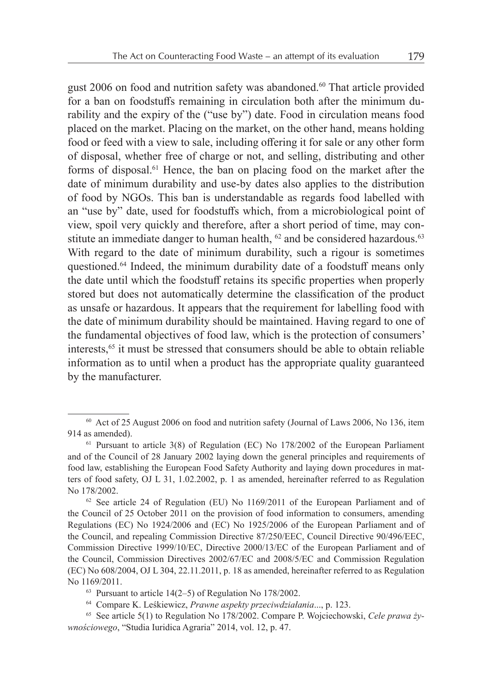gust 2006 on food and nutrition safety was abandoned.<sup>60</sup> That article provided for a ban on foodstuffs remaining in circulation both after the minimum durability and the expiry of the ("use by") date. Food in circulation means food placed on the market. Placing on the market, on the other hand, means holding food or feed with a view to sale, including offering it for sale or any other form of disposal, whether free of charge or not, and selling, distributing and other forms of disposal.61 Hence, the ban on placing food on the market after the date of minimum durability and use-by dates also applies to the distribution of food by NGOs. This ban is understandable as regards food labelled with an "use by" date, used for foodstuffs which, from a microbiological point of view, spoil very quickly and therefore, after a short period of time, may constitute an immediate danger to human health,  $62$  and be considered hazardous.<sup>63</sup> With regard to the date of minimum durability, such a rigour is sometimes questioned.64 Indeed, the minimum durability date of a foodstuff means only the date until which the foodstuff retains its specific properties when properly stored but does not automatically determine the classification of the product as unsafe or hazardous. It appears that the requirement for labelling food with the date of minimum durability should be maintained. Having regard to one of the fundamental objectives of food law, which is the protection of consumers' interests,65 it must be stressed that consumers should be able to obtain reliable information as to until when a product has the appropriate quality guaranteed by the manufacturer.

<sup>60</sup> Act of 25 August 2006 on food and nutrition safety (Journal of Laws 2006, No 136, item 914 as amended).

 $61$  Pursuant to article 3(8) of Regulation (EC) No 178/2002 of the European Parliament and of the Council of 28 January 2002 laying down the general principles and requirements of food law, establishing the European Food Safety Authority and laying down procedures in matters of food safety, OJ L 31, 1.02.2002, p. 1 as amended, hereinafter referred to as Regulation No 178/2002.

 $62$  See article 24 of Regulation (EU) No 1169/2011 of the European Parliament and of the Council of 25 October 2011 on the provision of food information to consumers, amending Regulations (EC) No 1924/2006 and (EC) No 1925/2006 of the European Parliament and of the Council, and repealing Commission Directive 87/250/EEC, Council Directive 90/496/EEC, Commission Directive 1999/10/EC, Directive 2000/13/EC of the European Parliament and of the Council, Commission Directives 2002/67/EC and 2008/5/EC and Commission Regulation (EC) No 608/2004, OJ L 304, 22.11.2011, p. 18 as amended, hereinafter referred to as Regulation No 1169/2011.

 $63$  Pursuant to article 14(2–5) of Regulation No 178/2002.

<sup>64</sup> Compare K. Leśkiewicz, *Prawne aspekty przeciwdziałania*..., p. 123.

<sup>65</sup> See article 5(1) to Regulation No 178/2002. Compare P. Wojciechowski, *Cele prawa żywnościowego*, "Studia Iuridica Agraria" 2014, vol. 12, p. 47.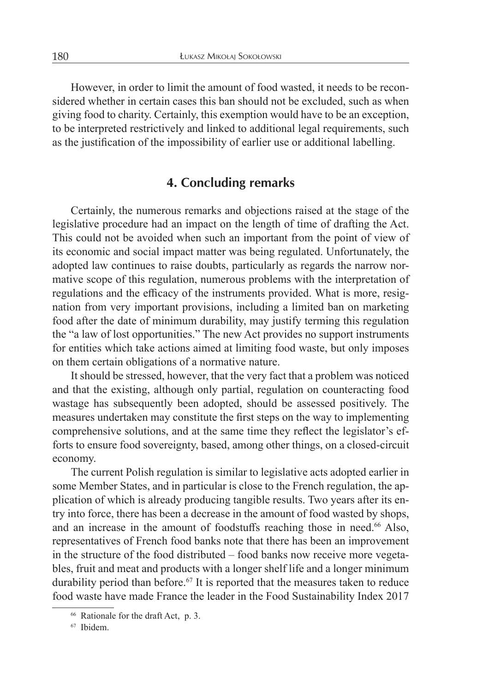However, in order to limit the amount of food wasted, it needs to be reconsidered whether in certain cases this ban should not be excluded, such as when giving food to charity. Certainly, this exemption would have to be an exception, to be interpreted restrictively and linked to additional legal requirements, such as the justification of the impossibility of earlier use or additional labelling.

## **4. Concluding remarks**

Certainly, the numerous remarks and objections raised at the stage of the legislative procedure had an impact on the length of time of drafting the Act. This could not be avoided when such an important from the point of view of its economic and social impact matter was being regulated. Unfortunately, the adopted law continues to raise doubts, particularly as regards the narrow normative scope of this regulation, numerous problems with the interpretation of regulations and the efficacy of the instruments provided. What is more, resignation from very important provisions, including a limited ban on marketing food after the date of minimum durability, may justify terming this regulation the "a law of lost opportunities." The new Act provides no support instruments for entities which take actions aimed at limiting food waste, but only imposes on them certain obligations of a normative nature.

It should be stressed, however, that the very fact that a problem was noticed and that the existing, although only partial, regulation on counteracting food wastage has subsequently been adopted, should be assessed positively. The measures undertaken may constitute the first steps on the way to implementing comprehensive solutions, and at the same time they reflect the legislator's efforts to ensure food sovereignty, based, among other things, on a closed-circuit economy.

The current Polish regulation is similar to legislative acts adopted earlier in some Member States, and in particular is close to the French regulation, the application of which is already producing tangible results. Two years after its entry into force, there has been a decrease in the amount of food wasted by shops, and an increase in the amount of foodstuffs reaching those in need.<sup>66</sup> Also, representatives of French food banks note that there has been an improvement in the structure of the food distributed – food banks now receive more vegetables, fruit and meat and products with a longer shelf life and a longer minimum durability period than before.<sup>67</sup> It is reported that the measures taken to reduce food waste have made France the leader in the Food Sustainability Index 2017

<sup>66</sup> Rationale for the draft Act, p. 3.

<sup>67</sup> Ibidem.